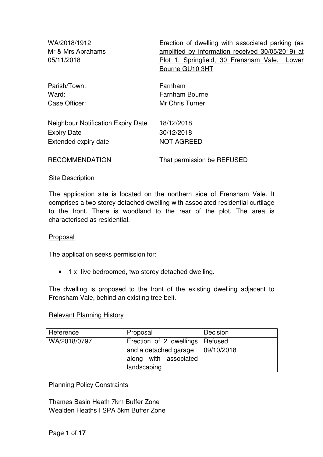| WA/2018/1912<br>Mr & Mrs Abrahams                                                       | Erection of dwelling with associated parking (as<br>amplified by information received 30/05/2019) at |
|-----------------------------------------------------------------------------------------|------------------------------------------------------------------------------------------------------|
| 05/11/2018                                                                              | Plot 1, Springfield, 30 Frensham Vale,<br>Lower<br>Bourne GU10 3HT                                   |
| Parish/Town:<br>Ward:<br>Case Officer:                                                  | Farnham<br>Farnham Bourne<br>Mr Chris Turner                                                         |
| <b>Neighbour Notification Expiry Date</b><br><b>Expiry Date</b><br>Extended expiry date | 18/12/2018<br>30/12/2018<br><b>NOT AGREED</b>                                                        |
| <b>RECOMMENDATION</b>                                                                   | That permission be REFUSED                                                                           |

#### **Site Description**

The application site is located on the northern side of Frensham Vale. It comprises a two storey detached dwelling with associated residential curtilage to the front. There is woodland to the rear of the plot. The area is characterised as residential.

#### Proposal

The application seeks permission for:

• 1 x five bedroomed, two storey detached dwelling.

The dwelling is proposed to the front of the existing dwelling adjacent to Frensham Vale, behind an existing tree belt.

#### Relevant Planning History

| Reference    | Proposal                          | Decision   |
|--------------|-----------------------------------|------------|
| WA/2018/0797 | Erection of 2 dwellings   Refused |            |
|              | and a detached garage             | 09/10/2018 |
|              | along with associated             |            |
|              | landscaping                       |            |

#### Planning Policy Constraints

Thames Basin Heath 7km Buffer Zone Wealden Heaths I SPA 5km Buffer Zone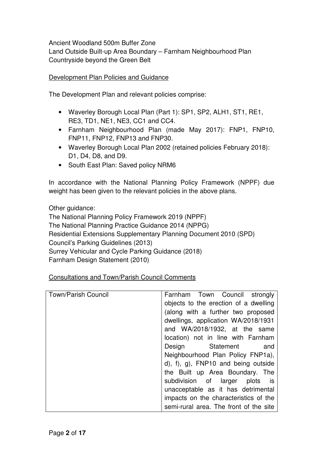Ancient Woodland 500m Buffer Zone Land Outside Built-up Area Boundary – Farnham Neighbourhood Plan Countryside beyond the Green Belt

## Development Plan Policies and Guidance

The Development Plan and relevant policies comprise:

- Waverley Borough Local Plan (Part 1): SP1, SP2, ALH1, ST1, RE1, RE3, TD1, NE1, NE3, CC1 and CC4.
- Farnham Neighbourhood Plan (made May 2017): FNP1, FNP10, FNP11, FNP12, FNP13 and FNP30.
- Waverley Borough Local Plan 2002 (retained policies February 2018): D1, D4, D8, and D9.
- South East Plan: Saved policy NRM6

In accordance with the National Planning Policy Framework (NPPF) due weight has been given to the relevant policies in the above plans.

Other guidance: The National Planning Policy Framework 2019 (NPPF) The National Planning Practice Guidance 2014 (NPPG) Residential Extensions Supplementary Planning Document 2010 (SPD) Council's Parking Guidelines (2013) Surrey Vehicular and Cycle Parking Guidance (2018) Farnham Design Statement (2010)

Consultations and Town/Parish Council Comments

| <b>Town/Parish Council</b> | Farnham Town Council strongly          |
|----------------------------|----------------------------------------|
|                            | objects to the erection of a dwelling  |
|                            | (along with a further two proposed     |
|                            | dwellings, application WA/2018/1931    |
|                            | and WA/2018/1932, at the same          |
|                            | location) not in line with Farnham     |
|                            | Design Statement and                   |
|                            | Neighbourhood Plan Policy FNP1a),      |
|                            | d), f), g), FNP10 and being outside    |
|                            | the Built up Area Boundary. The        |
|                            | subdivision of larger plots is         |
|                            | unacceptable as it has detrimental     |
|                            | impacts on the characteristics of the  |
|                            | semi-rural area. The front of the site |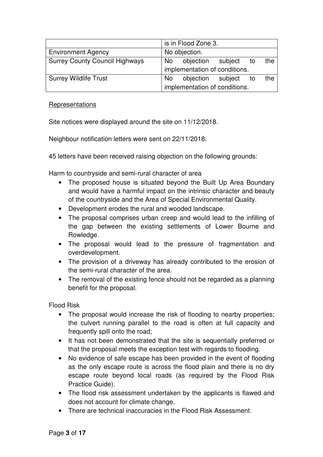|                                       |                               | is in Flood Zone 3. |  |    |     |
|---------------------------------------|-------------------------------|---------------------|--|----|-----|
| <b>Environment Agency</b>             | No objection.                 |                     |  |    |     |
| <b>Surrey County Council Highways</b> | No                            | objection subject   |  | to | the |
|                                       | implementation of conditions. |                     |  |    |     |
| <b>Surrey Wildlife Trust</b>          | <b>No</b>                     | objection subject   |  | to | the |
|                                       | implementation of conditions. |                     |  |    |     |

## **Representations**

Site notices were displayed around the site on 11/12/2018.

Neighbour notification letters were sent on 22/11/2018.

45 letters have been received raising objection on the following grounds:

Harm to countryside and semi-rural character of area

- The proposed house is situated beyond the Built Up Area Boundary and would have a harmful impact on the intrinsic character and beauty of the countryside and the Area of Special Environmental Quality.
- Development erodes the rural and wooded landscape.
- The proposal comprises urban creep and would lead to the infilling of the gap between the existing settlements of Lower Bourne and Rowledge.
- The proposal would lead to the pressure of fragmentation and overdevelopment.
- The provision of a driveway has already contributed to the erosion of the semi-rural character of the area.
- The removal of the existing fence should not be regarded as a planning benefit for the proposal.

Flood Risk

- The proposal would increase the risk of flooding to nearby properties; the culvert running parallel to the road is often at full capacity and frequently spill onto the road;
- It has not been demonstrated that the site is sequentially preferred or that the proposal meets the exception test with regards to flooding.
- No evidence of safe escape has been provided in the event of flooding as the only escape route is across the flood plain and there is no dry escape route beyond local roads (as required by the Flood Risk Practice Guide).
- The flood risk assessment undertaken by the applicants is flawed and does not account for climate change.
- There are technical inaccuracies in the Flood Risk Assessment.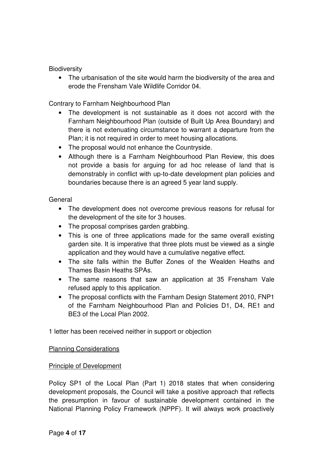## **Biodiversity**

• The urbanisation of the site would harm the biodiversity of the area and erode the Frensham Vale Wildlife Corridor 04.

Contrary to Farnham Neighbourhood Plan

- The development is not sustainable as it does not accord with the Farnham Neighbourhood Plan (outside of Built Up Area Boundary) and there is not extenuating circumstance to warrant a departure from the Plan; it is not required in order to meet housing allocations.
- The proposal would not enhance the Countryside.
- Although there is a Farnham Neighbourhood Plan Review, this does not provide a basis for arguing for ad hoc release of land that is demonstrably in conflict with up-to-date development plan policies and boundaries because there is an agreed 5 year land supply.

## General

- The development does not overcome previous reasons for refusal for the development of the site for 3 houses.
- The proposal comprises garden grabbing.
- This is one of three applications made for the same overall existing garden site. It is imperative that three plots must be viewed as a single application and they would have a cumulative negative effect.
- The site falls within the Buffer Zones of the Wealden Heaths and Thames Basin Heaths SPAs.
- The same reasons that saw an application at 35 Frensham Vale refused apply to this application.
- The proposal conflicts with the Farnham Design Statement 2010, FNP1 of the Farnham Neighbourhood Plan and Policies D1, D4, RE1 and BE3 of the Local Plan 2002.

1 letter has been received neither in support or objection

#### Planning Considerations

# Principle of Development

Policy SP1 of the Local Plan (Part 1) 2018 states that when considering development proposals, the Council will take a positive approach that reflects the presumption in favour of sustainable development contained in the National Planning Policy Framework (NPPF). It will always work proactively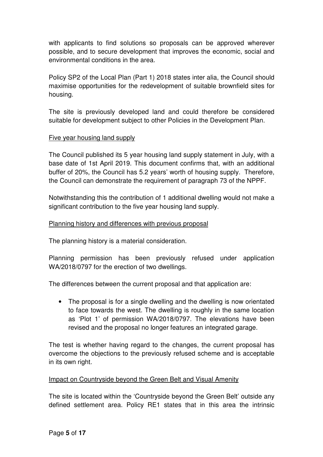with applicants to find solutions so proposals can be approved wherever possible, and to secure development that improves the economic, social and environmental conditions in the area.

Policy SP2 of the Local Plan (Part 1) 2018 states inter alia, the Council should maximise opportunities for the redevelopment of suitable brownfield sites for housing.

The site is previously developed land and could therefore be considered suitable for development subject to other Policies in the Development Plan.

## Five year housing land supply

The Council published its 5 year housing land supply statement in July, with a base date of 1st April 2019. This document confirms that, with an additional buffer of 20%, the Council has 5.2 years' worth of housing supply. Therefore, the Council can demonstrate the requirement of paragraph 73 of the NPPF.

Notwithstanding this the contribution of 1 additional dwelling would not make a significant contribution to the five year housing land supply.

## Planning history and differences with previous proposal

The planning history is a material consideration.

Planning permission has been previously refused under application WA/2018/0797 for the erection of two dwellings.

The differences between the current proposal and that application are:

• The proposal is for a single dwelling and the dwelling is now orientated to face towards the west. The dwelling is roughly in the same location as 'Plot 1' of permission WA/2018/0797. The elevations have been revised and the proposal no longer features an integrated garage.

The test is whether having regard to the changes, the current proposal has overcome the objections to the previously refused scheme and is acceptable in its own right.

#### Impact on Countryside beyond the Green Belt and Visual Amenity

The site is located within the 'Countryside beyond the Green Belt' outside any defined settlement area. Policy RE1 states that in this area the intrinsic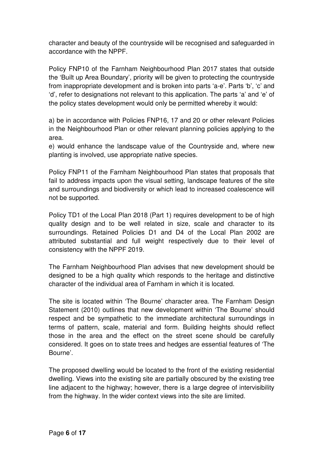character and beauty of the countryside will be recognised and safeguarded in accordance with the NPPF.

Policy FNP10 of the Farnham Neighbourhood Plan 2017 states that outside the 'Built up Area Boundary', priority will be given to protecting the countryside from inappropriate development and is broken into parts 'a-e'. Parts 'b', 'c' and 'd', refer to designations not relevant to this application. The parts 'a' and 'e' of the policy states development would only be permitted whereby it would:

a) be in accordance with Policies FNP16, 17 and 20 or other relevant Policies in the Neighbourhood Plan or other relevant planning policies applying to the area.

e) would enhance the landscape value of the Countryside and, where new planting is involved, use appropriate native species.

Policy FNP11 of the Farnham Neighbourhood Plan states that proposals that fail to address impacts upon the visual setting, landscape features of the site and surroundings and biodiversity or which lead to increased coalescence will not be supported.

Policy TD1 of the Local Plan 2018 (Part 1) requires development to be of high quality design and to be well related in size, scale and character to its surroundings. Retained Policies D1 and D4 of the Local Plan 2002 are attributed substantial and full weight respectively due to their level of consistency with the NPPF 2019.

The Farnham Neighbourhood Plan advises that new development should be designed to be a high quality which responds to the heritage and distinctive character of the individual area of Farnham in which it is located.

The site is located within 'The Bourne' character area. The Farnham Design Statement (2010) outlines that new development within 'The Bourne' should respect and be sympathetic to the immediate architectural surroundings in terms of pattern, scale, material and form. Building heights should reflect those in the area and the effect on the street scene should be carefully considered. It goes on to state trees and hedges are essential features of 'The Bourne'.

The proposed dwelling would be located to the front of the existing residential dwelling. Views into the existing site are partially obscured by the existing tree line adjacent to the highway; however, there is a large degree of intervisibility from the highway. In the wider context views into the site are limited.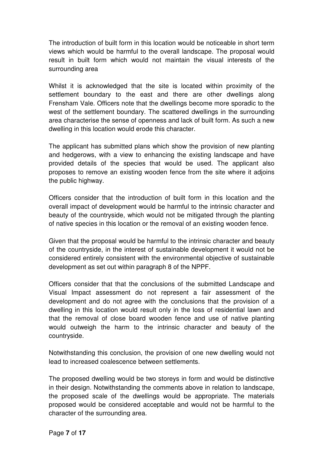The introduction of built form in this location would be noticeable in short term views which would be harmful to the overall landscape. The proposal would result in built form which would not maintain the visual interests of the surrounding area

Whilst it is acknowledged that the site is located within proximity of the settlement boundary to the east and there are other dwellings along Frensham Vale. Officers note that the dwellings become more sporadic to the west of the settlement boundary. The scattered dwellings in the surrounding area characterise the sense of openness and lack of built form. As such a new dwelling in this location would erode this character.

The applicant has submitted plans which show the provision of new planting and hedgerows, with a view to enhancing the existing landscape and have provided details of the species that would be used. The applicant also proposes to remove an existing wooden fence from the site where it adjoins the public highway.

Officers consider that the introduction of built form in this location and the overall impact of development would be harmful to the intrinsic character and beauty of the countryside, which would not be mitigated through the planting of native species in this location or the removal of an existing wooden fence.

Given that the proposal would be harmful to the intrinsic character and beauty of the countryside, in the interest of sustainable development it would not be considered entirely consistent with the environmental objective of sustainable development as set out within paragraph 8 of the NPPF.

Officers consider that that the conclusions of the submitted Landscape and Visual Impact assessment do not represent a fair assessment of the development and do not agree with the conclusions that the provision of a dwelling in this location would result only in the loss of residential lawn and that the removal of close board wooden fence and use of native planting would outweigh the harm to the intrinsic character and beauty of the countryside.

Notwithstanding this conclusion, the provision of one new dwelling would not lead to increased coalescence between settlements.

The proposed dwelling would be two storeys in form and would be distinctive in their design. Notwithstanding the comments above in relation to landscape, the proposed scale of the dwellings would be appropriate. The materials proposed would be considered acceptable and would not be harmful to the character of the surrounding area.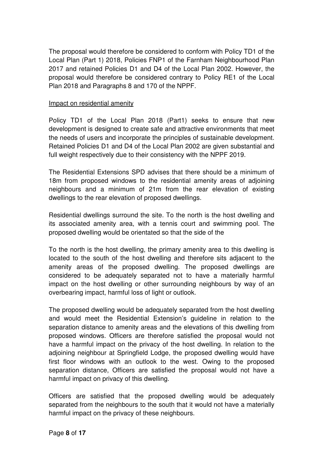The proposal would therefore be considered to conform with Policy TD1 of the Local Plan (Part 1) 2018, Policies FNP1 of the Farnham Neighbourhood Plan 2017 and retained Policies D1 and D4 of the Local Plan 2002. However, the proposal would therefore be considered contrary to Policy RE1 of the Local Plan 2018 and Paragraphs 8 and 170 of the NPPF.

## Impact on residential amenity

Policy TD1 of the Local Plan 2018 (Part1) seeks to ensure that new development is designed to create safe and attractive environments that meet the needs of users and incorporate the principles of sustainable development. Retained Policies D1 and D4 of the Local Plan 2002 are given substantial and full weight respectively due to their consistency with the NPPF 2019.

The Residential Extensions SPD advises that there should be a minimum of 18m from proposed windows to the residential amenity areas of adjoining neighbours and a minimum of 21m from the rear elevation of existing dwellings to the rear elevation of proposed dwellings.

Residential dwellings surround the site. To the north is the host dwelling and its associated amenity area, with a tennis court and swimming pool. The proposed dwelling would be orientated so that the side of the

To the north is the host dwelling, the primary amenity area to this dwelling is located to the south of the host dwelling and therefore sits adjacent to the amenity areas of the proposed dwelling. The proposed dwellings are considered to be adequately separated not to have a materially harmful impact on the host dwelling or other surrounding neighbours by way of an overbearing impact, harmful loss of light or outlook.

The proposed dwelling would be adequately separated from the host dwelling and would meet the Residential Extension's guideline in relation to the separation distance to amenity areas and the elevations of this dwelling from proposed windows. Officers are therefore satisfied the proposal would not have a harmful impact on the privacy of the host dwelling. In relation to the adjoining neighbour at Springfield Lodge, the proposed dwelling would have first floor windows with an outlook to the west. Owing to the proposed separation distance, Officers are satisfied the proposal would not have a harmful impact on privacy of this dwelling.

Officers are satisfied that the proposed dwelling would be adequately separated from the neighbours to the south that it would not have a materially harmful impact on the privacy of these neighbours.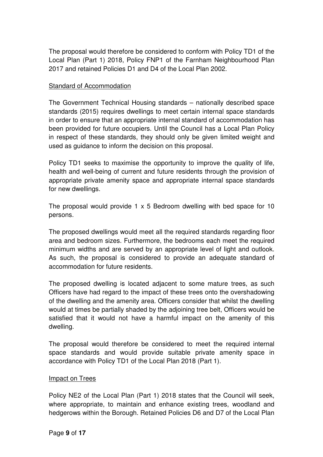The proposal would therefore be considered to conform with Policy TD1 of the Local Plan (Part 1) 2018, Policy FNP1 of the Farnham Neighbourhood Plan 2017 and retained Policies D1 and D4 of the Local Plan 2002.

### Standard of Accommodation

The Government Technical Housing standards – nationally described space standards (2015) requires dwellings to meet certain internal space standards in order to ensure that an appropriate internal standard of accommodation has been provided for future occupiers. Until the Council has a Local Plan Policy in respect of these standards, they should only be given limited weight and used as guidance to inform the decision on this proposal.

Policy TD1 seeks to maximise the opportunity to improve the quality of life, health and well-being of current and future residents through the provision of appropriate private amenity space and appropriate internal space standards for new dwellings.

The proposal would provide 1 x 5 Bedroom dwelling with bed space for 10 persons.

The proposed dwellings would meet all the required standards regarding floor area and bedroom sizes. Furthermore, the bedrooms each meet the required minimum widths and are served by an appropriate level of light and outlook. As such, the proposal is considered to provide an adequate standard of accommodation for future residents.

The proposed dwelling is located adjacent to some mature trees, as such Officers have had regard to the impact of these trees onto the overshadowing of the dwelling and the amenity area. Officers consider that whilst the dwelling would at times be partially shaded by the adjoining tree belt, Officers would be satisfied that it would not have a harmful impact on the amenity of this dwelling.

The proposal would therefore be considered to meet the required internal space standards and would provide suitable private amenity space in accordance with Policy TD1 of the Local Plan 2018 (Part 1).

#### Impact on Trees

Policy NE2 of the Local Plan (Part 1) 2018 states that the Council will seek, where appropriate, to maintain and enhance existing trees, woodland and hedgerows within the Borough. Retained Policies D6 and D7 of the Local Plan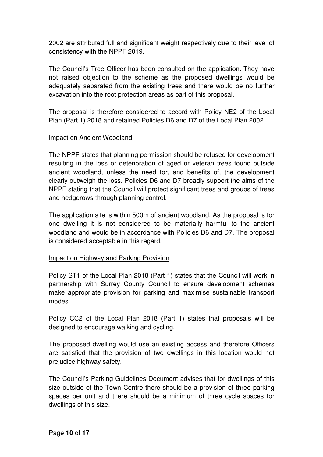2002 are attributed full and significant weight respectively due to their level of consistency with the NPPF 2019.

The Council's Tree Officer has been consulted on the application. They have not raised objection to the scheme as the proposed dwellings would be adequately separated from the existing trees and there would be no further excavation into the root protection areas as part of this proposal.

The proposal is therefore considered to accord with Policy NE2 of the Local Plan (Part 1) 2018 and retained Policies D6 and D7 of the Local Plan 2002.

## Impact on Ancient Woodland

The NPPF states that planning permission should be refused for development resulting in the loss or deterioration of aged or veteran trees found outside ancient woodland, unless the need for, and benefits of, the development clearly outweigh the loss. Policies D6 and D7 broadly support the aims of the NPPF stating that the Council will protect significant trees and groups of trees and hedgerows through planning control.

The application site is within 500m of ancient woodland. As the proposal is for one dwelling it is not considered to be materially harmful to the ancient woodland and would be in accordance with Policies D6 and D7. The proposal is considered acceptable in this regard.

#### Impact on Highway and Parking Provision

Policy ST1 of the Local Plan 2018 (Part 1) states that the Council will work in partnership with Surrey County Council to ensure development schemes make appropriate provision for parking and maximise sustainable transport modes.

Policy CC2 of the Local Plan 2018 (Part 1) states that proposals will be designed to encourage walking and cycling.

The proposed dwelling would use an existing access and therefore Officers are satisfied that the provision of two dwellings in this location would not prejudice highway safety.

The Council's Parking Guidelines Document advises that for dwellings of this size outside of the Town Centre there should be a provision of three parking spaces per unit and there should be a minimum of three cycle spaces for dwellings of this size.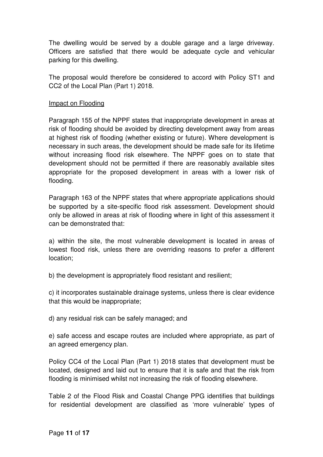The dwelling would be served by a double garage and a large driveway. Officers are satisfied that there would be adequate cycle and vehicular parking for this dwelling.

The proposal would therefore be considered to accord with Policy ST1 and CC2 of the Local Plan (Part 1) 2018.

## Impact on Flooding

Paragraph 155 of the NPPF states that inappropriate development in areas at risk of flooding should be avoided by directing development away from areas at highest risk of flooding (whether existing or future). Where development is necessary in such areas, the development should be made safe for its lifetime without increasing flood risk elsewhere. The NPPF goes on to state that development should not be permitted if there are reasonably available sites appropriate for the proposed development in areas with a lower risk of flooding.

Paragraph 163 of the NPPF states that where appropriate applications should be supported by a site-specific flood risk assessment. Development should only be allowed in areas at risk of flooding where in light of this assessment it can be demonstrated that:

a) within the site, the most vulnerable development is located in areas of lowest flood risk, unless there are overriding reasons to prefer a different location;

b) the development is appropriately flood resistant and resilient;

c) it incorporates sustainable drainage systems, unless there is clear evidence that this would be inappropriate;

d) any residual risk can be safely managed; and

e) safe access and escape routes are included where appropriate, as part of an agreed emergency plan.

Policy CC4 of the Local Plan (Part 1) 2018 states that development must be located, designed and laid out to ensure that it is safe and that the risk from flooding is minimised whilst not increasing the risk of flooding elsewhere.

Table 2 of the Flood Risk and Coastal Change PPG identifies that buildings for residential development are classified as 'more vulnerable' types of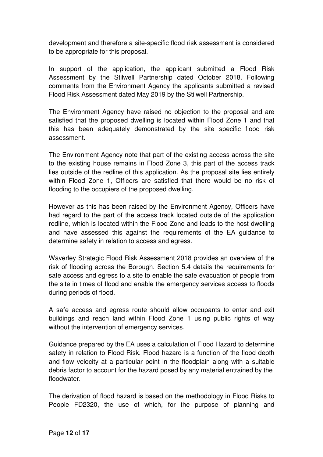development and therefore a site-specific flood risk assessment is considered to be appropriate for this proposal.

In support of the application, the applicant submitted a Flood Risk Assessment by the Stilwell Partnership dated October 2018. Following comments from the Environment Agency the applicants submitted a revised Flood Risk Assessment dated May 2019 by the Stilwell Partnership.

The Environment Agency have raised no objection to the proposal and are satisfied that the proposed dwelling is located within Flood Zone 1 and that this has been adequately demonstrated by the site specific flood risk assessment.

The Environment Agency note that part of the existing access across the site to the existing house remains in Flood Zone 3, this part of the access track lies outside of the redline of this application. As the proposal site lies entirely within Flood Zone 1, Officers are satisfied that there would be no risk of flooding to the occupiers of the proposed dwelling.

However as this has been raised by the Environment Agency, Officers have had regard to the part of the access track located outside of the application redline, which is located within the Flood Zone and leads to the host dwelling and have assessed this against the requirements of the EA guidance to determine safety in relation to access and egress.

Waverley Strategic Flood Risk Assessment 2018 provides an overview of the risk of flooding across the Borough. Section 5.4 details the requirements for safe access and egress to a site to enable the safe evacuation of people from the site in times of flood and enable the emergency services access to floods during periods of flood.

A safe access and egress route should allow occupants to enter and exit buildings and reach land within Flood Zone 1 using public rights of way without the intervention of emergency services.

Guidance prepared by the EA uses a calculation of Flood Hazard to determine safety in relation to Flood Risk. Flood hazard is a function of the flood depth and flow velocity at a particular point in the floodplain along with a suitable debris factor to account for the hazard posed by any material entrained by the floodwater.

The derivation of flood hazard is based on the methodology in Flood Risks to People FD2320, the use of which, for the purpose of planning and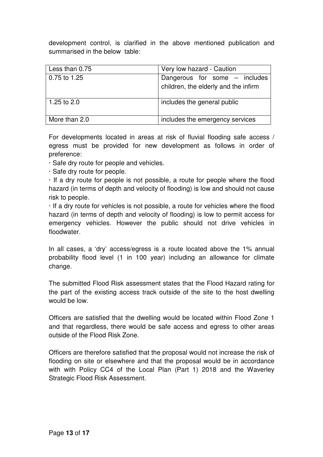development control, is clarified in the above mentioned publication and summarised in the below table:

| Less than 0.75 | Very low hazard - Caution                                             |
|----------------|-----------------------------------------------------------------------|
| 0.75 to 1.25   | Dangerous for some – includes<br>children, the elderly and the infirm |
| 1.25 to $2.0$  | includes the general public                                           |
| More than 2.0  | includes the emergency services                                       |

For developments located in areas at risk of fluvial flooding safe access / egress must be provided for new development as follows in order of preference:

· Safe dry route for people and vehicles.

· Safe dry route for people.

· If a dry route for people is not possible, a route for people where the flood hazard (in terms of depth and velocity of flooding) is low and should not cause risk to people.

· If a dry route for vehicles is not possible, a route for vehicles where the flood hazard (in terms of depth and velocity of flooding) is low to permit access for emergency vehicles. However the public should not drive vehicles in floodwater.

In all cases, a 'dry' access/egress is a route located above the 1% annual probability flood level (1 in 100 year) including an allowance for climate change.

The submitted Flood Risk assessment states that the Flood Hazard rating for the part of the existing access track outside of the site to the host dwelling would be low.

Officers are satisfied that the dwelling would be located within Flood Zone 1 and that regardless, there would be safe access and egress to other areas outside of the Flood Risk Zone.

Officers are therefore satisfied that the proposal would not increase the risk of flooding on site or elsewhere and that the proposal would be in accordance with with Policy CC4 of the Local Plan (Part 1) 2018 and the Waverley Strategic Flood Risk Assessment.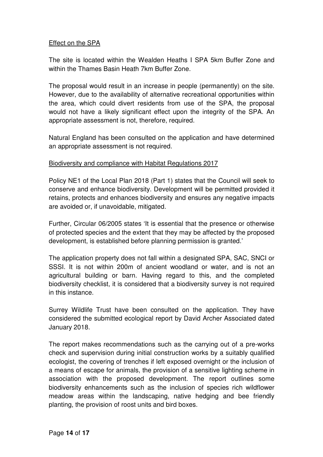## Effect on the SPA

The site is located within the Wealden Heaths I SPA 5km Buffer Zone and within the Thames Basin Heath 7km Buffer Zone.

The proposal would result in an increase in people (permanently) on the site. However, due to the availability of alternative recreational opportunities within the area, which could divert residents from use of the SPA, the proposal would not have a likely significant effect upon the integrity of the SPA. An appropriate assessment is not, therefore, required.

Natural England has been consulted on the application and have determined an appropriate assessment is not required.

## Biodiversity and compliance with Habitat Regulations 2017

Policy NE1 of the Local Plan 2018 (Part 1) states that the Council will seek to conserve and enhance biodiversity. Development will be permitted provided it retains, protects and enhances biodiversity and ensures any negative impacts are avoided or, if unavoidable, mitigated.

Further, Circular 06/2005 states 'It is essential that the presence or otherwise of protected species and the extent that they may be affected by the proposed development, is established before planning permission is granted.'

The application property does not fall within a designated SPA, SAC, SNCI or SSSI. It is not within 200m of ancient woodland or water, and is not an agricultural building or barn. Having regard to this, and the completed biodiversity checklist, it is considered that a biodiversity survey is not required in this instance.

Surrey Wildlife Trust have been consulted on the application. They have considered the submitted ecological report by David Archer Associated dated January 2018.

The report makes recommendations such as the carrying out of a pre-works check and supervision during initial construction works by a suitably qualified ecologist, the covering of trenches if left exposed overnight or the inclusion of a means of escape for animals, the provision of a sensitive lighting scheme in association with the proposed development. The report outlines some biodiversity enhancements such as the inclusion of species rich wildflower meadow areas within the landscaping, native hedging and bee friendly planting, the provision of roost units and bird boxes.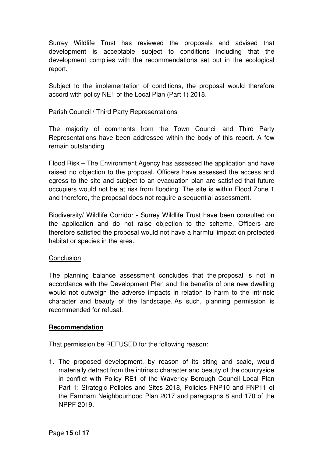Surrey Wildlife Trust has reviewed the proposals and advised that development is acceptable subject to conditions including that the development complies with the recommendations set out in the ecological report.

Subject to the implementation of conditions, the proposal would therefore accord with policy NE1 of the Local Plan (Part 1) 2018.

# Parish Council / Third Party Representations

The majority of comments from the Town Council and Third Party Representations have been addressed within the body of this report. A few remain outstanding.

Flood Risk – The Environment Agency has assessed the application and have raised no objection to the proposal. Officers have assessed the access and egress to the site and subject to an evacuation plan are satisfied that future occupiers would not be at risk from flooding. The site is within Flood Zone 1 and therefore, the proposal does not require a sequential assessment.

Biodiversity/ Wildlife Corridor - Surrey Wildlife Trust have been consulted on the application and do not raise objection to the scheme, Officers are therefore satisfied the proposal would not have a harmful impact on protected habitat or species in the area.

#### **Conclusion**

The planning balance assessment concludes that the proposal is not in accordance with the Development Plan and the benefits of one new dwelling would not outweigh the adverse impacts in relation to harm to the intrinsic character and beauty of the landscape. As such, planning permission is recommended for refusal.

#### **Recommendation**

That permission be REFUSED for the following reason:

1. The proposed development, by reason of its siting and scale, would materially detract from the intrinsic character and beauty of the countryside in conflict with Policy RE1 of the Waverley Borough Council Local Plan Part 1: Strategic Policies and Sites 2018, Policies FNP10 and FNP11 of the Farnham Neighbourhood Plan 2017 and paragraphs 8 and 170 of the NPPF 2019.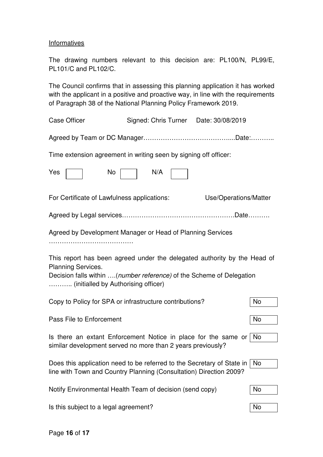### **Informatives**

The drawing numbers relevant to this decision are: PL100/N, PL99/E, PL101/C and PL102/C.

The Council confirms that in assessing this planning application it has worked with the applicant in a positive and proactive way, in line with the requirements of Paragraph 38 of the National Planning Policy Framework 2019.

| <b>Case Officer</b>                                                                                                                                                                                                  | Signed: Chris Turner Date: 30/08/2019 |                       |     |  |  |
|----------------------------------------------------------------------------------------------------------------------------------------------------------------------------------------------------------------------|---------------------------------------|-----------------------|-----|--|--|
|                                                                                                                                                                                                                      |                                       |                       |     |  |  |
| Time extension agreement in writing seen by signing off officer:                                                                                                                                                     |                                       |                       |     |  |  |
| Yes<br>No                                                                                                                                                                                                            | N/A                                   |                       |     |  |  |
| For Certificate of Lawfulness applications:                                                                                                                                                                          |                                       | Use/Operations/Matter |     |  |  |
|                                                                                                                                                                                                                      |                                       |                       |     |  |  |
| Agreed by Development Manager or Head of Planning Services                                                                                                                                                           |                                       |                       |     |  |  |
| This report has been agreed under the delegated authority by the Head of<br><b>Planning Services.</b><br>Decision falls within (number reference) of the Scheme of Delegation<br>(initialled by Authorising officer) |                                       |                       |     |  |  |
| Copy to Policy for SPA or infrastructure contributions?                                                                                                                                                              |                                       |                       | No  |  |  |
| Pass File to Enforcement                                                                                                                                                                                             |                                       |                       | No  |  |  |
| Is there an extant Enforcement Notice in place for the same or No<br>similar development served no more than 2 years previously?                                                                                     |                                       |                       |     |  |  |
| Does this application need to be referred to the Secretary of State in<br>line with Town and Country Planning (Consultation) Direction 2009?                                                                         |                                       |                       | No. |  |  |
| Notify Environmental Health Team of decision (send copy)                                                                                                                                                             |                                       |                       | No  |  |  |
| Is this subject to a legal agreement?                                                                                                                                                                                |                                       |                       | No  |  |  |